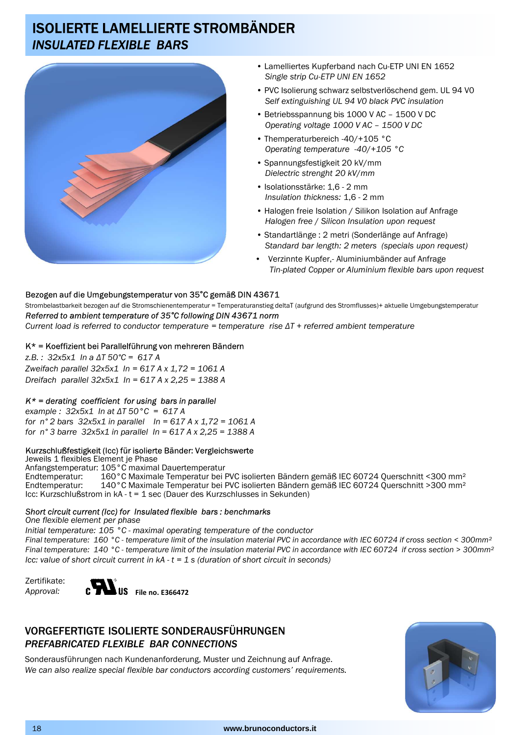# ISOLIERTE LAMELLIERTE STROMBÄNDER *INSULATED FLEXIBLE BARS*



- Lamelliertes Kupferband nach Cu-ETP UNI EN 1652 *Single strip Cu-ETP UNI EN 1652*
- PVC Isolierung schwarz selbstverlöschend gem. UL 94 V0 *Self extinguishing UL 94 V0 black PVC insulation*
- Betriebsspannung bis 1000 V AC 1500 V DC *Operating voltage 1000 V AC – 1500 V DC*
- Themperaturbereich -40/+105 °C *Operating temperature -40*/*+105 °C*
- Spannungsfestigkeit 20 kV/mm *Dielectric strenght 20 kV*/*mm*
- Isolationsstärke: 1,6 2 mm *Insulation thickness:* 1,6 - 2 mm
- Halogen freie Isolation / Silikon Isolation auf Anfrage *Halogen free* / *Silicon Insulation upon request*
- Standartlänge : 2 metri (Sonderlänge auf Anfrage) *Standard bar length: 2 meters (specials upon request)*
- Verzinnte Kupfer,- Aluminiumbänder auf Anfrage *Tin-plated Copper or Aluminium flexible bars upon request*

## Bezogen auf die Umgebungstemperatur von 35**°**C gemäß DIN 43671

Strombelastbarkeit bezogen auf die Stromschienentemperatur = Temperaturanstieg deltaT (aufgrund des Stromflusses)+ aktuelle Umgebungstemperatur *Referred to ambient temperature of 35°C following DIN 43671 norm*

*Current load is referred to conductor temperature = temperature rise ∆T + referred ambient temperature*

### K\* = Koeffizient bei Parallelführung von mehreren Bändern

*z.B. : 32x5x1 In a ∆T 50°C = 617 A Zweifach parallel 32x5x1 In = 617 A x 1,72 = 1061 A Dreifach parallel 32x5x1 In = 617 A x 2,25 = 1388 A*

### *K\* = derating coefficient for using bars in parallel*

*example : 32x5x1 In at ∆T 50°C = 617 A for n° 2 bars 32x5x1 in parallel In = 617 A x 1,72 = 1061 A for n° 3 barre 32x5x1 in parallel In = 617 A x 2,25 = 1388 A* 

#### Kurzschlußfestigkeit (Icc) für isolierte Bänder: Vergleichswerte

Jeweils 1 flexibles Element je Phase Anfangstemperatur: 105°C maximal Dauertemperatur Endtemperatur: 160°C Maximale Temperatur bei PVC isolierten Bändern gemäß IEC 60724 Querschnitt <300 mm<sup>2</sup><br>Endtemperatur: 140°C Maximale Temperatur bei PVC isolierten Bändern gemäß IEC 60724 Querschnitt >300 mm<sup>2</sup> 140°C Maximale Temperatur bei PVC isolierten Bändern gemäß IEC 60724 Querschnitt >300 mm<sup>2</sup> Icc: Kurzschlußstrom in kA - t = 1 sec (Dauer des Kurzschlusses in Sekunden)

#### *Short circuit current (Icc) for Insulated flexible bars : benchmarks*

*One flexible element per phase Initial temperature: 105 °C - maximal operating temperature of the conductor Final temperature: 160 °C - temperature limit of the insulation material PVC in accordance with IEC 60724 if cross section < 300mm² Final temperature: 140 °C - temperature limit of the insulation material PVC in accordance with IEC 60724 if cross section > 300mm² Icc: value of short circuit current in kA - t = 1 s (duration of short circuit in seconds)* 





# VORGEFERTIGTE ISOLIERTE SONDERAUSFÜHRUNGEN *PREFABRICATED FLEXIBLE BAR CONNECTIONS*

Sonderausführungen nach Kundenanforderung, Muster und Zeichnung auf Anfrage. *We can also realize special flexible bar conductors according customers' requirements.*



#### 18 **www.brunoconductors.it**